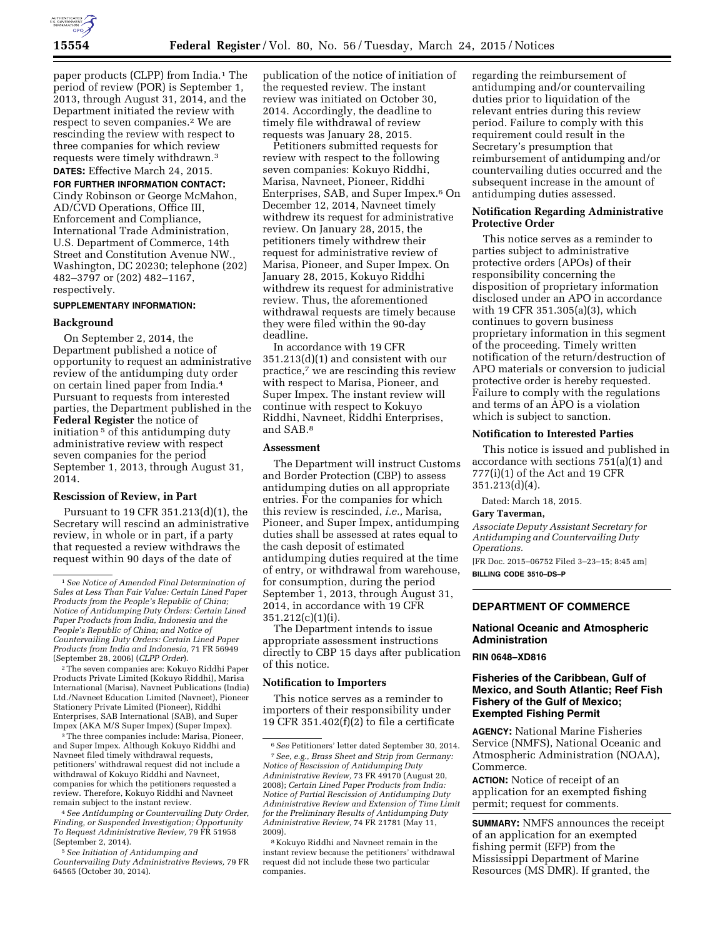

paper products (CLPP) from India.<sup>1</sup> The period of review (POR) is September 1, 2013, through August 31, 2014, and the Department initiated the review with respect to seven companies.2 We are rescinding the review with respect to three companies for which review requests were timely withdrawn.3 **DATES:** Effective March 24, 2015.

# **FOR FURTHER INFORMATION CONTACT:**

Cindy Robinson or George McMahon, AD/CVD Operations, Office III, Enforcement and Compliance, International Trade Administration, U.S. Department of Commerce, 14th Street and Constitution Avenue NW., Washington, DC 20230; telephone (202) 482–3797 or (202) 482–1167, respectively.

#### **SUPPLEMENTARY INFORMATION:**

#### **Background**

On September 2, 2014, the Department published a notice of opportunity to request an administrative review of the antidumping duty order on certain lined paper from India.4 Pursuant to requests from interested parties, the Department published in the **Federal Register** the notice of initiation<sup>5</sup> of this antidumping duty administrative review with respect seven companies for the period September 1, 2013, through August 31, 2014.

#### **Rescission of Review, in Part**

Pursuant to 19 CFR 351.213(d)(1), the Secretary will rescind an administrative review, in whole or in part, if a party that requested a review withdraws the request within 90 days of the date of

2The seven companies are: Kokuyo Riddhi Paper Products Private Limited (Kokuyo Riddhi), Marisa International (Marisa), Navneet Publications (India) Ltd./Navneet Education Limited (Navneet), Pioneer Stationery Private Limited (Pioneer), Riddhi Enterprises, SAB International (SAB), and Super Impex (AKA M/S Super Impex) (Super Impex).

3The three companies include: Marisa, Pioneer, and Super Impex. Although Kokuyo Riddhi and Navneet filed timely withdrawal requests, petitioners' withdrawal request did not include a withdrawal of Kokuyo Riddhi and Navneet, companies for which the petitioners requested a review. Therefore, Kokuyo Riddhi and Navneet remain subject to the instant review.

4*See Antidumping or Countervailing Duty Order, Finding, or Suspended Investigation; Opportunity To Request Administrative Review,* 79 FR 51958 (September 2, 2014).

5*See Initiation of Antidumping and Countervailing Duty Administrative Reviews,* 79 FR 64565 (October 30, 2014).

publication of the notice of initiation of the requested review. The instant review was initiated on October 30, 2014. Accordingly, the deadline to timely file withdrawal of review requests was January 28, 2015.

Petitioners submitted requests for review with respect to the following seven companies: Kokuyo Riddhi, Marisa, Navneet, Pioneer, Riddhi Enterprises, SAB, and Super Impex.6 On December 12, 2014, Navneet timely withdrew its request for administrative review. On January 28, 2015, the petitioners timely withdrew their request for administrative review of Marisa, Pioneer, and Super Impex. On January 28, 2015, Kokuyo Riddhi withdrew its request for administrative review. Thus, the aforementioned withdrawal requests are timely because they were filed within the 90-day deadline.

In accordance with 19 CFR 351.213(d)(1) and consistent with our practice,7 we are rescinding this review with respect to Marisa, Pioneer, and Super Impex. The instant review will continue with respect to Kokuyo Riddhi, Navneet, Riddhi Enterprises, and SAB.8

#### **Assessment**

The Department will instruct Customs and Border Protection (CBP) to assess antidumping duties on all appropriate entries. For the companies for which this review is rescinded, *i.e.,* Marisa, Pioneer, and Super Impex, antidumping duties shall be assessed at rates equal to the cash deposit of estimated antidumping duties required at the time of entry, or withdrawal from warehouse, for consumption, during the period September 1, 2013, through August 31, 2014, in accordance with 19 CFR 351.212(c)(1)(i).

The Department intends to issue appropriate assessment instructions directly to CBP 15 days after publication of this notice.

## **Notification to Importers**

This notice serves as a reminder to importers of their responsibility under 19 CFR 351.402 $(f)(2)$  to file a certificate

regarding the reimbursement of antidumping and/or countervailing duties prior to liquidation of the relevant entries during this review period. Failure to comply with this requirement could result in the Secretary's presumption that reimbursement of antidumping and/or countervailing duties occurred and the subsequent increase in the amount of antidumping duties assessed.

## **Notification Regarding Administrative Protective Order**

This notice serves as a reminder to parties subject to administrative protective orders (APOs) of their responsibility concerning the disposition of proprietary information disclosed under an APO in accordance with 19 CFR 351.305(a)(3), which continues to govern business proprietary information in this segment of the proceeding. Timely written notification of the return/destruction of APO materials or conversion to judicial protective order is hereby requested. Failure to comply with the regulations and terms of an APO is a violation which is subject to sanction.

#### **Notification to Interested Parties**

This notice is issued and published in accordance with sections 751(a)(1) and 777(i)(1) of the Act and 19 CFR 351.213(d)(4).

Dated: March 18, 2015.

#### **Gary Taverman,**

*Associate Deputy Assistant Secretary for Antidumping and Countervailing Duty Operations.* 

[FR Doc. 2015–06752 Filed 3–23–15; 8:45 am] **BILLING CODE 3510–DS–P** 

#### **DEPARTMENT OF COMMERCE**

# **National Oceanic and Atmospheric Administration**

## **RIN 0648–XD816**

# **Fisheries of the Caribbean, Gulf of Mexico, and South Atlantic; Reef Fish Fishery of the Gulf of Mexico; Exempted Fishing Permit**

**AGENCY:** National Marine Fisheries Service (NMFS), National Oceanic and Atmospheric Administration (NOAA), Commerce.

**ACTION:** Notice of receipt of an application for an exempted fishing permit; request for comments.

**SUMMARY:** NMFS announces the receipt of an application for an exempted fishing permit (EFP) from the Mississippi Department of Marine Resources (MS DMR). If granted, the

<sup>1</sup>*See Notice of Amended Final Determination of Sales at Less Than Fair Value: Certain Lined Paper Products from the People's Republic of China; Notice of Antidumping Duty Orders: Certain Lined Paper Products from India, Indonesia and the People's Republic of China; and Notice of Countervailing Duty Orders: Certain Lined Paper Products from India and Indonesia,* 71 FR 56949 (September 28, 2006) (*CLPP Order*).

<sup>6</sup>*See* Petitioners' letter dated September 30, 2014. 7*See, e.g., Brass Sheet and Strip from Germany: Notice of Rescission of Antidumping Duty Administrative Review,* 73 FR 49170 (August 20, 2008); *Certain Lined Paper Products from India: Notice of Partial Rescission of Antidumping Duty Administrative Review and Extension of Time Limit for the Preliminary Results of Antidumping Duty Administrative Review,* 74 FR 21781 (May 11, 2009).

<sup>8</sup> Kokuyo Riddhi and Navneet remain in the instant review because the petitioners' withdrawal request did not include these two particular companies.